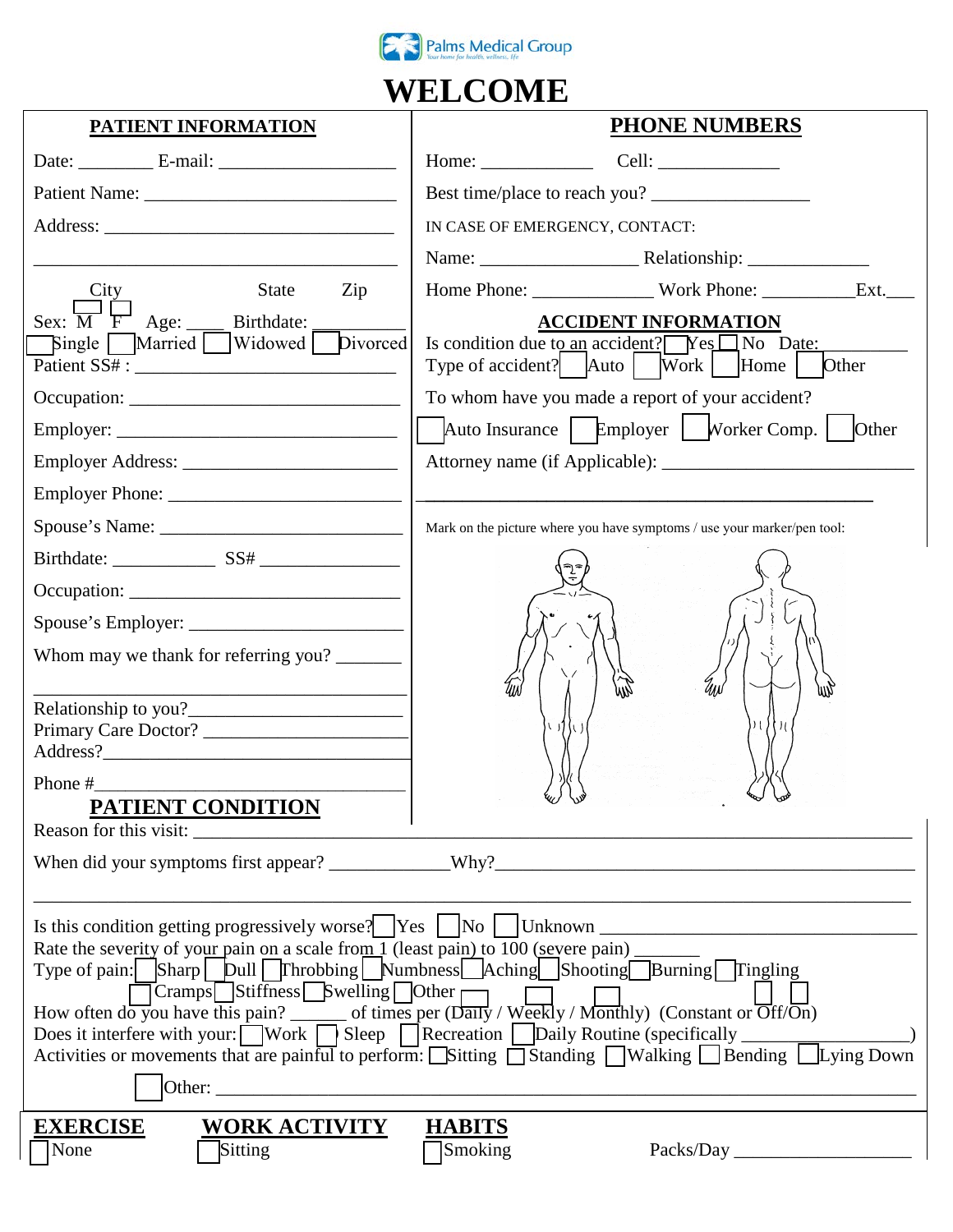

## **WELCOME**

| <b>PATIENT INFORMATION</b>                                                                                                                                                                                                                      | <b>PHONE NUMBERS</b>                                                                                             |  |  |  |  |
|-------------------------------------------------------------------------------------------------------------------------------------------------------------------------------------------------------------------------------------------------|------------------------------------------------------------------------------------------------------------------|--|--|--|--|
| Date: $E$ -mail: $E$ -mail: $E$ -mail: $E$ -mail: $E$                                                                                                                                                                                           |                                                                                                                  |  |  |  |  |
|                                                                                                                                                                                                                                                 | Best time/place to reach you?                                                                                    |  |  |  |  |
|                                                                                                                                                                                                                                                 | IN CASE OF EMERGENCY, CONTACT:                                                                                   |  |  |  |  |
|                                                                                                                                                                                                                                                 |                                                                                                                  |  |  |  |  |
| <b>State</b><br>Zip<br>City                                                                                                                                                                                                                     |                                                                                                                  |  |  |  |  |
| Sex: $\overline{M}$ $\overline{F}$ Age: ____ Birthdate:                                                                                                                                                                                         | <b>ACCIDENT INFORMATION</b>                                                                                      |  |  |  |  |
| Single Married Widowed Divorced                                                                                                                                                                                                                 | Is condition due to an accident? $\sqrt{\text{Yes}}$ No Date:<br>Type of accident? Auto   Work   Home  <br>Other |  |  |  |  |
|                                                                                                                                                                                                                                                 | To whom have you made a report of your accident?                                                                 |  |  |  |  |
|                                                                                                                                                                                                                                                 | Auto Insurance $\Box$ Employer $\Box$ Worker Comp.<br>Other                                                      |  |  |  |  |
|                                                                                                                                                                                                                                                 |                                                                                                                  |  |  |  |  |
|                                                                                                                                                                                                                                                 |                                                                                                                  |  |  |  |  |
|                                                                                                                                                                                                                                                 | Mark on the picture where you have symptoms / use your marker/pen tool:                                          |  |  |  |  |
|                                                                                                                                                                                                                                                 |                                                                                                                  |  |  |  |  |
| Occupation:                                                                                                                                                                                                                                     |                                                                                                                  |  |  |  |  |
|                                                                                                                                                                                                                                                 |                                                                                                                  |  |  |  |  |
| Whom may we thank for referring you?                                                                                                                                                                                                            |                                                                                                                  |  |  |  |  |
|                                                                                                                                                                                                                                                 | Чŵ<br>mд                                                                                                         |  |  |  |  |
|                                                                                                                                                                                                                                                 | ) ( ) { ) ( .<br>心升い                                                                                             |  |  |  |  |
|                                                                                                                                                                                                                                                 |                                                                                                                  |  |  |  |  |
|                                                                                                                                                                                                                                                 |                                                                                                                  |  |  |  |  |
| <b>PATIENT CONDITION</b><br>Reason for this visit:                                                                                                                                                                                              |                                                                                                                  |  |  |  |  |
|                                                                                                                                                                                                                                                 |                                                                                                                  |  |  |  |  |
|                                                                                                                                                                                                                                                 |                                                                                                                  |  |  |  |  |
| Rate the severity of your pain on a scale from 1 (least pain) to 100 (severe pain) ______<br>Type of pain: Sharp Dull Throbbing Numbness Aching Shooting Burning Tingling<br>$\Box$ Cramps $\Box$ Stiffness $\Box$ Swelling $\Box$ Other $\Box$ |                                                                                                                  |  |  |  |  |
| <b>EXERCISE</b><br><b>WORK ACTIVITY</b><br>Sitting<br>None                                                                                                                                                                                      | <b>HABITS</b><br>Smoking<br>Packs/Day                                                                            |  |  |  |  |